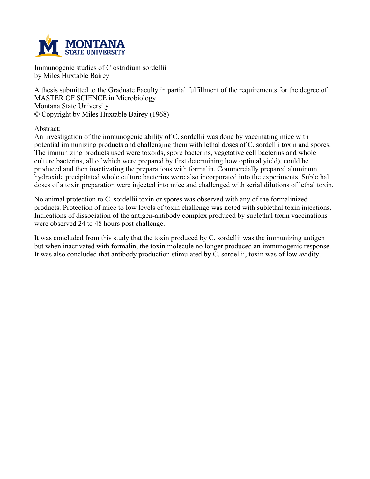

**Immunogenic studies of Clostridium sordellii by Miles Huxtable Bairey**

**A thesis submitted to the Graduate Faculty in partial fulfillment of the requirements for the degree of MASTER OF SCIENCE in Microbiology Montana State University © Copyright by Miles Huxtable Bairey (1968)**

**Abstract:**

**An investigation of the immunogenic ability of C. sordellii was done by vaccinating mice with potential immunizing products and challenging them with lethal doses of C. sordellii toxin and spores. The immunizing products used were toxoids, spore bacterins, vegetative cell bacterins and whole culture bacterins, all of which were prepared by first determining how optimal yield), could be produced and then inactivating the preparations with formalin. Commercially prepared aluminum hydroxide precipitated whole culture bacterins were also incorporated into the experiments. Sublethal** doses of a toxin preparation were injected into mice and challenged with serial dilutions of lethal toxin.

**No animal protection to C. sordellii toxin or spores was observed with any of the formalinized products. Protection of mice to low levels of toxin challenge was noted with sublethal toxin injections. Indications of dissociation of the antigen-antibody complex produced by sublethal toxin vaccinations were observed 24 to 48 hours post challenge.**

**It was concluded from this study that the toxin produced by C. sordellii was the immunizing antigen but when inactivated with formalin, the toxin molecule no longer produced an immunogenic response. It was also concluded that antibody production stimulated by C. sordellii, toxin was of low avidity.**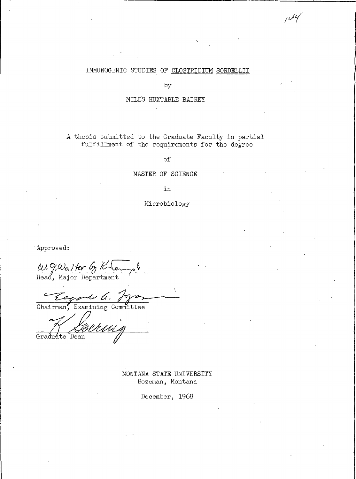# IMMUNOGENIC STUDIES OF CLOSTRIDIUM SORDELLII

 $\mu$ ly

by

# MILES HUXTABLE BAIREY

A thesis submitted to the Graduate Faculty in partial fulfillment of the requirements for the degree

οf

# MASTER OF SCIENCE

in

Microbiology

Approved:

W. g.Walter by Klew ¢

Chairman, Examining Committee

1)<br>Bermig Graduate Dean

MONTANA STATE UNIVERSITY Bozeman, Montana

December, 1968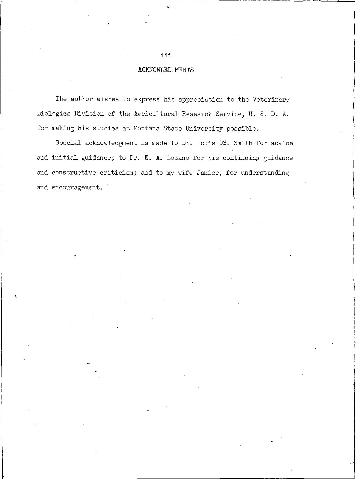# ACKNOWLEDGMENTS

The author wishes to express his appreciation to the Veterinary Biologics Division of the Agricultural Research Service, U. S. D. A. for making his studies at Montana State University possible.

Special acknowledgment is made to Dr. Louis DS. Smith for advice and initial guidance; to Dr. E. A. Lozano for his continuing guidance and constructive criticism; and to my wife Janice, for understanding and encouragement.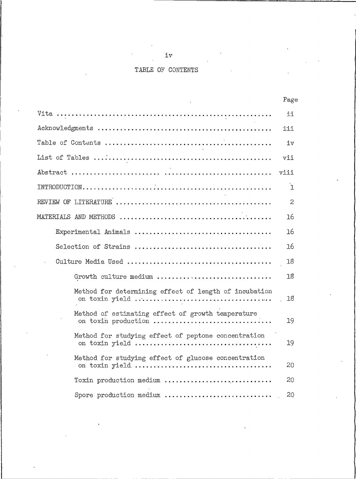# TABLE OF CONTENTS

|                                                                                                                                                                            | rage         |
|----------------------------------------------------------------------------------------------------------------------------------------------------------------------------|--------------|
|                                                                                                                                                                            | ii           |
|                                                                                                                                                                            | iii          |
|                                                                                                                                                                            | iv           |
|                                                                                                                                                                            | vii          |
|                                                                                                                                                                            | viii         |
|                                                                                                                                                                            | ı            |
|                                                                                                                                                                            | $\mathbf{2}$ |
| $\verb!MATERIALS \hspace{0.1cm} AND \hspace{0.1cm} METHODS \hspace{0.1cm} \dots \dots \dots \dots \dots \dots \dots \dots \dots \dots \dots \dots \dots \dots \dots \dots$ | 16           |
|                                                                                                                                                                            | 16           |
|                                                                                                                                                                            | 16           |
|                                                                                                                                                                            | 18           |
| Growth culture medium                                                                                                                                                      | 18           |
| Method for determining effect of length of incubation                                                                                                                      | 18           |
| Method of estimating effect of growth temperature<br>on toxin production                                                                                                   | 19           |
| Method for studying effect of peptone concentration                                                                                                                        | 19           |
| Method for studying effect of glucose concentration                                                                                                                        | 20           |
| Toxin production medium                                                                                                                                                    | 20           |
| Spore production medium                                                                                                                                                    | 20           |

iv<sub>-</sub>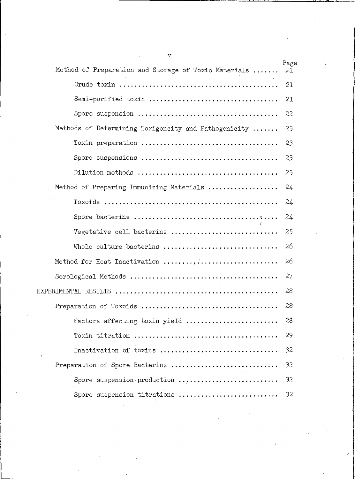| v                                                    |            |
|------------------------------------------------------|------------|
| Method of Preparation and Storage of Toxic Materials | Page<br>21 |
|                                                      | 21         |
| Semi-purified toxin                                  | 21         |
|                                                      | 22         |
| Methods of Determining Toxigencity and Pathogenicity | 23         |
|                                                      | 23         |
|                                                      | 23         |
|                                                      | 23         |
| Method of Preparing Immunizing Materials             | 24         |
|                                                      | 24         |
|                                                      | 24         |
| Vegetative cell bacterins                            | 25         |
| Whole culture bacterins                              | 26         |
| Method for Heat Inactivation                         | 26         |
|                                                      | 27         |
|                                                      | 28         |
|                                                      | 28         |
| Factors affecting toxin yield                        | 28         |
|                                                      | 29         |
| Inactivation of toxins                               | 32         |
| Preparation of Spore Bacterins                       | 32         |
| Spore suspension production                          | 32         |
| Spore suspension titrations                          | 32         |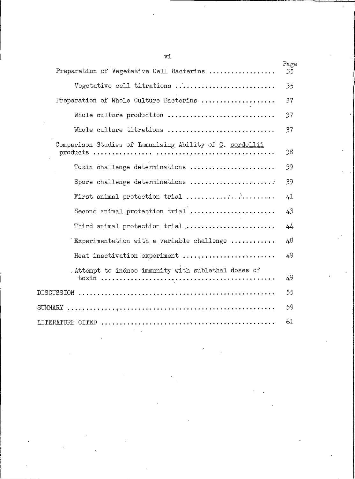| Preparation of Vegetative Cell Bacterins                         | Page<br>35 |
|------------------------------------------------------------------|------------|
| Vegetative cell titrations                                       | 35         |
| Preparation of Whole Culture Bacterins                           | 37         |
| Whole culture production                                         | 37         |
| Whole culture titrations                                         | 37         |
| Comparison Studies of Immunizing Ability of C. sordellii         | 38         |
| Toxin challenge determinations                                   | 39         |
| Spore challenge determinations                                   | 39         |
| First animal protection trial                                    | 41         |
| Second animal protection trial                                   | 43         |
| Third animal protection trial                                    | 44         |
| Experimentation with a variable challenge $\ldots \ldots \ldots$ | 48         |
| Heat inactivation experiment                                     | 49         |
| . Attempt to induce immunity with sublethal doses of             | 49         |
|                                                                  |            |
|                                                                  | 59         |
|                                                                  |            |

 $\mathtt{v}\mathtt{i}$ 

l,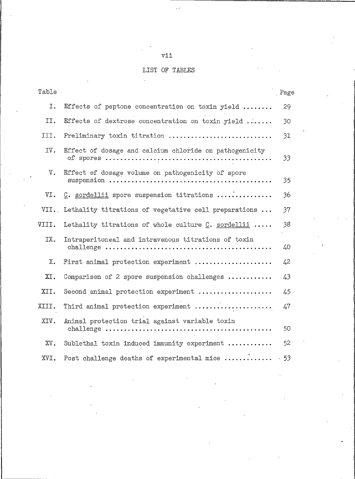# vii

 $\overline{\phantom{a}}$ 

# LIST OF TABLES

 $\frac{1}{2}$ 

| Table  |                                                        | Page |
|--------|--------------------------------------------------------|------|
| I.     | Effects of peptone concentration on toxin yield        | 29   |
| II.    | Effects of dextrose concentration on toxin yield       | 30   |
| III.   | Preliminary toxin titration                            | 31   |
| IV.    | Effect of dosage and calcium chloride on pathogenicity | 33   |
| V.     | Effect of dosage volume on pathogenicity of spore      | 35   |
| VI.    | C. sordellii spore suspension titrations               | 36   |
| VII.   | Lethality titrations of vegetative cell preparations   | 37   |
| VIII.  | Lethality titrations of whole culture $C$ . sordellii  | 38   |
| IX.    | Intraperitoneal and intravenous titrations of toxin    | 40   |
| Х.     | First animal protection experiment                     | 42   |
| XI.    | Comparison of 2 spore suspension challenges            | 43   |
| XII.   | Second animal protection experiment                    | 45   |
| XIII.  | Third animal protection experiment                     | 47   |
| XIV.   | Animal protection trial against variable toxin         | 50   |
| $XV$ . | Sublethal toxin induced immunity experiment            | 52   |
| XVI.   | Post challenge deaths of experimental mice             | .53  |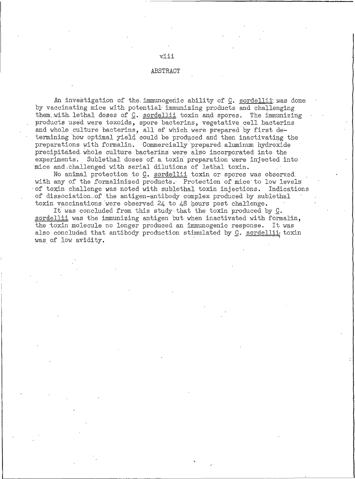#### **ABSTRACT**

viii

An investigation of the immunogenic ability of C. sordellii was done by vaccinating mice with potential immunizing products and challenging them with lethal doses of C. sordellii toxin and spores. The immunizing products used were toxoids, spore bacterins, vegetative cell bacterins and whole culture bacterins, all of which were prepared by first determining how optimal yield could be produced and then inactivating the preparations with formalin. Commercially prepared aluminum hydroxide precipitated whole culture bacterins were also incorporated into the experiments. Sublethal doses of a toxin preparation were injected into mice and challenged with serial dilutions of lethal toxin.

No animal protection to C. sordellii toxin or spores was observed. with any of the formalinized products. Protection of mice to low levels of toxin challenge was noted with sublethal toxin injections. Indications of dissociation of the antigen-antibody complex produced by sublethal toxin vaccinations were observed  $24$  to  $48$  hours post challenge.

It was concluded from this study that the toxin produced by C. sordellii was the immunizing antigen but when inactivated with formalin, the toxin molecule no longer produced an immunogenic response. It was also concluded that antibody production stimulated by C. sordellii toxin was of low avidity.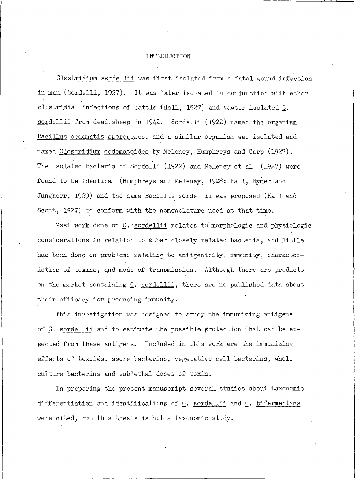#### INTRODUCTION

Clostridium sordellii was first isolated from a fatal wound infection in man (Sordelli, 1927). It was later isolated in conjunction with other clostridial infections of cattle (Hall, 1927) and Vawter isolated C. sordellii from dead sheep in 1942. Sordelli (1922) named the organism Bacillus oedematis sporogenes, and a similar organism was isolated and named Clostridium oedematoides by Meleney, Humphreys and Carp (1927). The isolated bacteria of Sordelli (1922) and Meleney et al (1927) were found to be identical (Humphreys and Meleney, 1928; Hall, Rymer and Jungherr, 1929) and the name Bacillus sordellii was proposed (Hall and Scott, 1927) to conform with the nomenclature used at that time.

Most work done on C. sordellii relates to morphologic and physiologic considerations in relation to other closely related bacteria, and little has been done on problems relating to antigenicity, immunity, characteristics of toxins, and mode of transmission. Although there are products on the market containing C. sordellii, there are no published data about their efficacy for producing immunity.

This investigation was designed to study the immunizing antigens of C. sordellii and to estimate the possible protection that can be expected from these antigens. Included in this work are the immunizing effects of toxoids, spore bacterins, vegetative cell bacterins, whole culture bacterins and sublethal doses of toxin.

In preparing the present manuscript several studies about taxonomic differentiation and identifications of C. sordellii and C. bifermentans were cited, but this thesis is not a taxonomic study.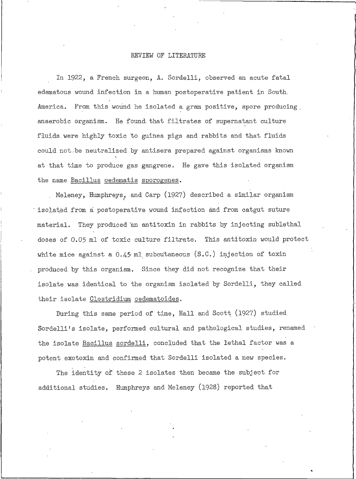#### REVIEW OF LITERATURE

In 1922, a French surgeon, A. Sordelli, observed an acute fatal edematous wound infection in a human postoperative patient in South. America. From this wound he isolated a gram positive, spore producing anaerobic organism. He found that filtrates of supernatant culture fluids were highly toxic to guinea pigs and rabbits and that fluids could not be neutralized by antisera prepared against organisms known at that time to produce gas gangrene. He gave this isolated organism the name Bacillus oedematis sporogenes.

Meleney, Humphreys, and Carp (1927) described a similar organism isolated from a postoperative wound infection and from catgut suture material. They produced 'an antitoxin in rabbits by injecting sublethal doses of 0.05 ml of toxic culture filtrate. This antitoxin would protect white mice against a 0.45 ml subcutaneous (S.C.) injection of toxin produced by this organism. Since they did not recognize that their isolate was identical to the organism isolated by Sordelli, they called their isolate Clostridium oedematoides.

During this same period of time, Hall and Scott (1927) studied Sordelli's isolate, performed cultural and pathological studies, renamed the isolate Bacillus sordelli, concluded that the lethal factor was a potent exotoxin and confirmed that Sordelli isolated a new species.

The identity of these 2 isolates then became the subject for additional studies. Humphreys and Meleney (1928) reported that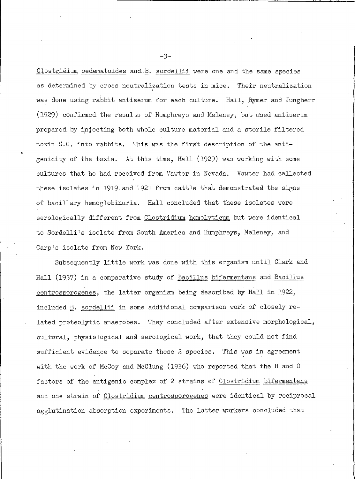Clostridium oedematoides and B. sordellii were one and the same species as determined by cross neutralization tests in mice. Their neutralization was done using rabbit antiserum for each culture. Hall, Rymer and Jungherr (1929) confirmed the results of Humphreys and Meleney, but used antiserum prepared by injecting both whole culture material and a sterile filtered toxin S.C. into rabbits. This was the first description of the antigenicity of the toxin. At this time, Hall (1929) was working with some cultures that he had received from Vawter in Nevada. Vawter had collected these isolates in 1919 and 1921 from cattle that demonstrated the signs of bacillary hemoglobinuria. Hall concluded that these isolates were serologically different from Clostridium hemolyticum but were identical to Sordelli's isolate from South America and Humphreys, Meleney, and Carp's isolate from New York.

Subsequently little work was done with this organism until Clark and Hall (1937) in a comparative study of Bacillus bifermentans and Bacillus centrosporogenes, the latter organism being described by Hall in 1922, included B. sordellii in some additional comparison work of closely related proteolytic anaerobes. They concluded after extensive morphological, cultural, physiological and serological work, that they could not find sufficient evidence to separate these 2 species. This was in agreement with the work of McCoy and McClung (1936) who reported that the H and 0 factors of the antigenic complex of 2 strains of Clostridium bifermentans and one strain of Clostridium centrosporogenes were identical by reciprocal agglutination absorption experiments. The latter workers concluded that

 $-3-$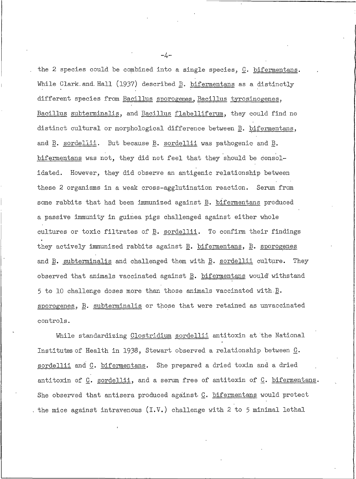the 2 species could be combined into a single species, C. bifermentans. While Clark and Hall (1937) described **B**. bifermentans as a distinctly different species from Bacillus sporogenes, Bacillus tyrosinogenes, Bacillus subterminalis, and Bacillus flabelliferum, they could find no distinct cultural or morphological difference between B. bifermentans, and  $\underline{B}$ . sordellii. But because  $\underline{B}$ . sordellii was pathogenic and  $\underline{B}$ . bifermentans was not, they did not feel that they should be consolidated. However, they did observe an antigenic relationship between these 2 organisms in a weak cross-agglutination reaction. Serum from some rabbits that had been immunized against B. bifermentans produced a passive immunity in guinea pigs challenged against either whole cultures or toxic filtrates of B. sordellii. To confirm their findings they actively immunized rabbits against B. bifermentans, B. sporogenes and B. subterminalis and challenged them with B. sordellii culture. Thev observed that animals vaccinated against B. bifermentans would withstand 5 to 10 challenge doses more than those animals vaccinated with  $\underline{B}$ . sporogenes, B. subterminalis or those that were retained as unvaccinated controls.

While standardizing Clostridium sordellii antitoxin at the National Institutes of Health in 1938, Stewart observed a relationship between C. sordellii and C. bifermentans. She prepared a dried toxin and a dried antitoxin of C. sordellii, and a serum free of antitoxin of C. bifermentans. She observed that antisera produced against C. bifermentans would protect , the mice against intravenous (I.V.) challenge with 2 to 5 minimal lethal

 $-4-$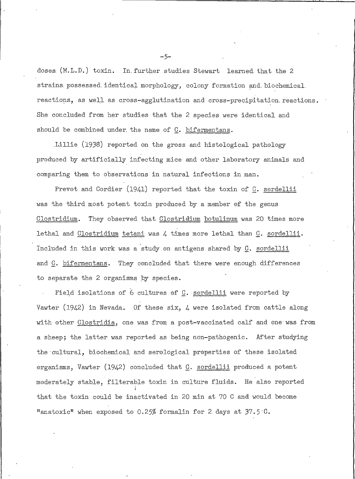doses (M.L.D.) toxin. In further studies Stewart learned that the 2 strains possessed identical morphology, colony formation and biochemical reactions, as well as cross-agglutination and cross-precipitation reactions. She concluded from her studies that the 2 species were identical and should be combined under the name of C. bifermentans.

Lillie (1938) reported on the gross and histological pathology produced by artificially infecting mice and other laboratory animals and comparing them to observations in natural infections in man.

Prevot and Cordier (1941) reported that the toxin of C. sordellii was the third most potent toxin produced by a member of the genus They observed that Clostridium botulinum was 20 times more Clostridium. lethal and Clostridium tetani was 4 times more lethal than C. sordellii. Included in this work was a study on antigens shared by C. sordellii and C. bifermentans. They concluded that there were enough differences to separate the 2 organisms by species.

Field isolations of 6 cultures of C. sordellii were reported by Vawter (1942) in Nevada. Of these six,  $\mu$  were isolated from cattle along with other Clostridia, one was from a post-vaccinated calf and one was from a sheep; the latter was reported as being non-pathogenic. After studying the cultural, biochemical and serological properties of these isolated organisms, Vawter (1942) concluded that C. sordellii produced a potent moderately stable, filterable toxin in culture fluids. He also reported that the toxin could be inactivated in 20 min at 70 C and would become "anatoxic" when exposed to 0.25% formalin for 2 days at 37.5 C.

 $-5-$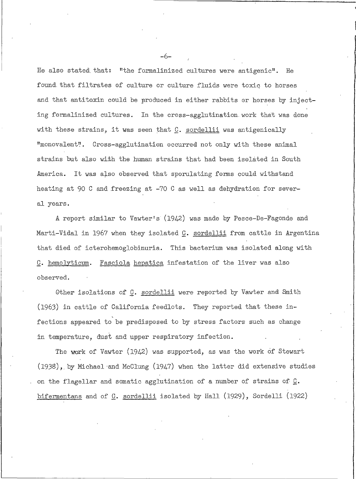He also stated that: "the formalinized cultures were antigenic". He found that filtrates of culture or culture fluids were toxic to horses and that antitoxin could be produced in either rabbits or horses by injecting formalinized cultures. In the cross-agglutination work that was done with these strains, it was seen that  $C$ . sordellii was antigenically "monovalent". Cross-agglutination occurred not only with these animal strains but also with the human strains that had been isolated in South America. It was also observed that sporulating forms could withstand heating at 90 C and freezing at -70 C as well as dehydration for several years.

A report similar to Vawter's (1942) was made by Pesce-De-Fagonde and Marti-Vidal in 1967 when they isolated C. sordellii from cattle in Argentina that died of icterohemoglobinuria. This bacterium was isolated along with Fasciola hepatica infestation of the liver was also C. hemolyticum. observed.

Other isolations of C. sordellii were reported by Vawter and Smith (1963) in cattle of California feedlots. They reported that these infections appeared to be predisposed to by stress factors such as change in temperature, dust and upper respiratory infection.

The work of Vawter (1942) was supported, as was the work of Stewart (1938), by Michael and McClung (1947) when the latter did extensive studies on the flagellar and somatic agglutination of a number of strains of C. bifermentans and of C. sordellii isolated by Hall (1929), Sordelli (1922)

 $-6-$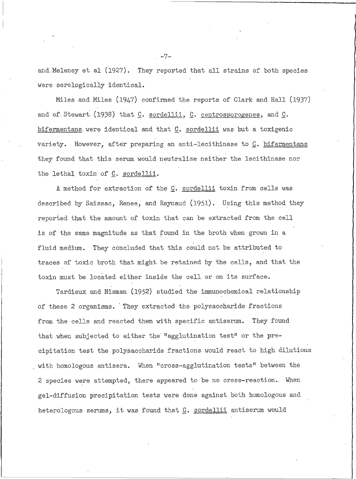and Meleney et al (1927). They reported that all strains of both species were serologically identical.

Miles and Miles (1947) confirmed the reports of Clark and Hall (1937) and of Stewart (1938) that C. sordellii, C. centrosporogenes, and  $C$ . bifermentans were identical and that C. sordellii was but a toxigenic variety. However, after preparing an anti-lecithinase to C. bifermentans they found that this serum would neutralize neither the lecithinase nor the lethal toxin of C. sordellii.

A method for extraction of the C. sordellii toxin from cells was described by Saissac, Renee, and Raynaud (1951). Using this method they reported that the amount of toxin that can be extracted from the cell is of the same magnitude as that found in the broth when grown in a They concluded that this could not be attributed to fluid medium. traces of toxic broth that might be retained by the cells, and that the toxin must be located either inside the cell or on its surface.

Tardieux and Nisman (1952) studied the immunochemical relationship of these 2 organisms. They extracted the polysaccharide fractions from the cells and reacted them with specific antiserum. They found that when subjected to either the "agglutination test" or the precipitation test the polysaccharide fractions would react to high dilutions with homologous antisera. When "cross-agglutination tests" between the 2 species were attempted, there appeared to be no cross-reaction. When gel-diffusion precipitation tests were done against both homologous and heterologous serums, it was found that C. sordellii antiserum would

 $-7-$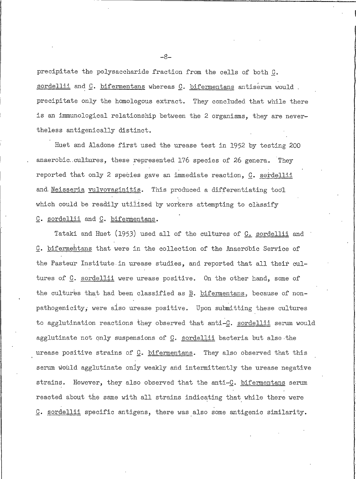precipitate the polysaccharide fraction from the cells of both C. sordellii and C. bifermentans whereas C. bifermentans antiserum would. precipitate only the homologous extract. They concluded that while there is an immunological relationship between the 2 organisms, they are nevertheless antigenically distinct.

Huet and Aladone first used the urease test in 1952 by testing 200 anaerobic cultures, these represented 176 species of 26 genera. They reported that only 2 species gave an immediate reaction, C. sordellii and Neisseria vulvovaginitis. This produced a differentiating tool which could be readily utilized by workers attempting to classify C. sordellii and C. bifermentans.

Tataki and Huet (1953) used all of the cultures of C. sordellii and C. bifermentans that were in the collection of the Anaerobic Service of the Pasteur Institute in urease studies, and reported that all their cultures of C. sordellii were urease positive. On the other hand, some of the cultures that had been classified as  $\underline{B}$ . bifermentans, because of nonpathogenicity, were also urease positive. Upon submitting these cultures to agglutination reactions they observed that anti-C. sordellii serum would agglutinate not only suspensions of C. sordellii bacteria but also the urease positive strains of C. bifermentans. They also observed that this serum would agglutinate only weakly and intermittently the urease negative strains. However, they also observed that the anti-C. bifermentans serum reacted about the same with all strains indicating that while there were C. sordellii specific antigens, there was also some antigenic similarity.

-8-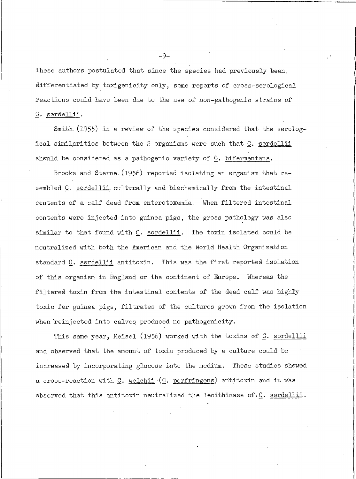These authors postulated that since the species had previously been. differentiated by toxigenicity only, some reports of cross-serological reactions could have been due to the use of non-pathogenic strains of C. sordellii.

Smith (1955) in a review of the species considered that the serological similarities between the 2 organisms were such that C. sordellii should be considered as a pathogenic variety of C. bifermentans.

Brooks and Sterne (1956) reported isolating an organism that resembled C. sordellii culturally and biochemically from the intestinal contents of a calf dead from enterotoxemia. When filtered intestinal contents were injected into guinea pigs, the gross pathology was also similar to that found with C. sordellii. The toxin isolated could be neutralized with both the American and the World Health Organization standard C. sordellii antitoxin. This was the first reported isolation of this organism in England or the continent of Europe. Whereas the filtered toxin from the intestinal contents of the dead calf was highly toxic for guinea pigs, filtrates of the cultures grown from the isolation when reinjected into calves produced no pathogenicity.

This same year, Meisel (1956) worked with the toxins of C. sordellii and observed that the amount of toxin produced by a culture could be increased by incorporating glucose into the medium. These studies showed a cross-reaction with  $C$ . welchii  $(C.$  perfringens) antitoxin and it was observed that this antitoxin neutralized the lecithinase of. C. sordellii.

 $-9-$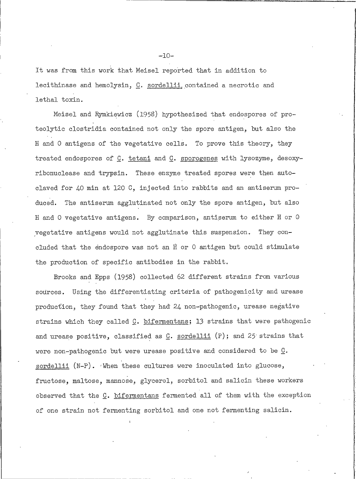It was from this work that Meisel reported that in addition to lecithinase and hemolysin, C. sordellii contained a necrotic and lethal toxin.

Meisel and Rymkiewicz (1958) hypothesized that endospores of proteolytic clostridia contained not only the spore antigen, but also the H and O antigens of the vegetative cells. To prove this theory, they treated endospores of C. tetani and C. sporogenes with lysozyme, desoxyribonuclease and trypsin. These enzyme treated spores were then autoclaved for 40 min at 120 C, injected into rabbits and an antiserum pro-The antiserum agglutinated not only the spore antigen, but also duced. H and O vegetative antigens. By comparison, antiserum to either H or O vegetative antigens would not agglutinate this suspension. They concluded that the endospore was not an H or 0 antigen but could stimulate the production of specific antibodies in the rabbit.

Brooks and Epps (1958) collected 62 different strains from various sources. Using the differentiating criteria of pathogenicity and urease production, they found that they had 24 non-pathogenic, urease negative strains which they called C. bifermentans; 13 strains that were pathogenic and urease positive, classified as  $C$ . sordellii  $(P)$ ; and 25 strains that were non-pathogenic but were urease positive and considered to be  $\underline{G}$ . sordellii (N-P). When these cultures were inoculated into glucose, fructose, maltose, mannose, glycerol, sorbitol and salicin these workers observed that the C. bifermentans fermented all of them with the exception of one strain not fermenting sorbitol and one not fermenting salicin.

 $-10-$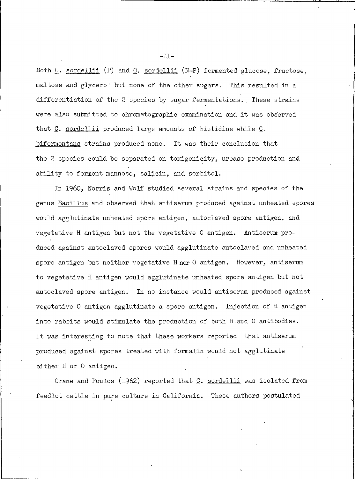Both C. sordellii (P) and C. sordellii (N-P) fermented glucose, fructose, maltose and glycerol but none of the other sugars. This resulted in a differentiation of the 2 species by sugar fermentations. These strains were also submitted to chromatographic examination and it was observed that C. sordellii produced large amounts of histidine while C. bifermentans strains produced none. It was their conclusion that the 2 species could be separated on toxigenicity, urease production and ability to ferment mannose, salicin, and sorbitol.

In 1960, Norris and Wolf studied several strains and species of the genus Bacillus and observed that antiserum produced against unheated spores would agglutinate unheated spore antigen, autoclaved spore antigen, and vegetative H antigen but not the vegetative O antigen. Antiserum produced against autoclaved spores would agglutinate autoclaved and unheated spore antigen but neither vegetative H nor O antigen. However, antiserum to vegetative H antigen would agglutinate unheated spore antigen but not autoclaved spore antigen. In no instance would antiserum produced against vegetative O antigen agglutinate a spore antigen. Injection of H antigen into rabbits would stimulate the production of both H and O antibodies. It was interesting to note that these workers reported that antiserum produced against spores treated with formalin would not agglutinate either H or O antigen.

Crane and Poulos (1962) reported that C. sordellii was isolated from feedlot cattle in pure culture in California. These authors postulated

 $-11-$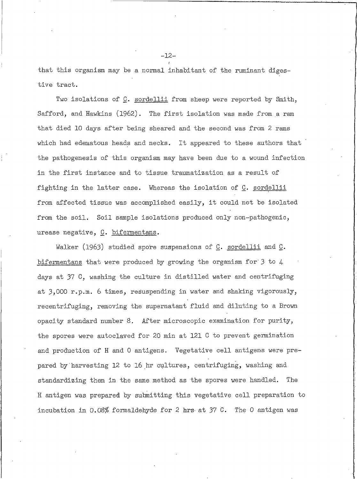that this organism may be a normal inhabitant of the ruminant digestive tract.

Two isolations of C. sordellii from sheep were reported by Smith, Safford, and Hawkins (1962). The first isolation was made from a ram that died 10 days after being sheared and the second was from 2 rams which had edematous heads and necks. It appeared to these authors that the pathogenesis of this organism may have been due to a wound infection in the first instance and to tissue traumatization as a result of fighting in the latter case. Whereas the isolation of C. sordellii from affected tissue was accomplished easily, it could not be isolated from the soil. Soil sample isolations produced only non-pathogenic, urease negative, C. bifermentans.

Walker (1963) studied spore suspensions of  $C$ . sordellii and  $C$ . bifermentans that were produced by growing the organism for  $3$  to  $4$ days at 37 C, washing the culture in distilled water and centrifuging at 3,000 r.p.m. 6 times, resuspending in water and shaking vigorously, recentrifuging, removing the supernatant fluid and diluting to a Brown opacity standard number 8. After microscopic examination for purity, the spores were autoclaved for 20 min at 121 C to prevent germination and production of H and O antigens. Vegetative cell antigens were prepared by harvesting 12 to 16 hr cultures, centrifuging, washing and standardizing them in the same method as the spores were handled. The H antigen was prepared by submitting this vegetative cell preparation to incubation in 0.08% formaldehyde for 2 hrs at 37 C. The 0 antigen was

 $-12-$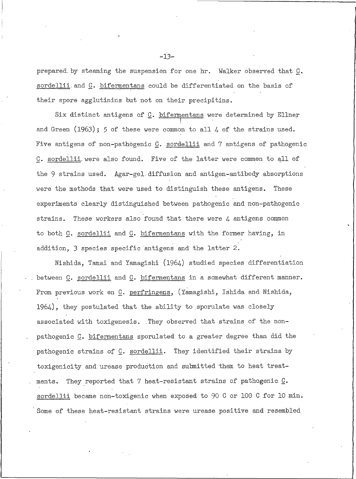prepared by steaming the suspension for one hr. Walker observed that C. sordellii and C. bifermentans could be differentiated on the basis of their spore agglutinins but not on their precipitins.

Six distinct antigens of C. bifermentans were determined by Ellner and Green  $(1963)$ ; 5 of these were common to all 4 of the strains used. Five antigens of non-pathogenic C. sordellii and 7 antigens of pathogenic C. sordellii were also found. Five of the latter were common to all of the 9 strains used. Agar-gel diffusion and antigen-antibody absorptions were the methods that were used to distinguish these antigens. These experiments clearly distinguished between pathogenic and non-pathogenic strains. These workers also found that there were  $\mu$  antigens common to both C. sordellii and C. bifermentans with the former having, in addition, 3 species specific antigens and the latter 2.

Nishida, Tamai and Yamagishi (1964) studied species differentiation between C. sordellii and C. bifermentans in a somewhat different manner. From previous work on C. perfringens, (Yamagishi, Ishida and Nishida,  $1964$ ), they postulated that the ability to sporulate was closely associated with toxigenesis. They observed that strains of the nonpathogenic C. bifermentans sporulated to a greater degree than did the pathogenic strains of C. sordellii. They identified their strains by toxigenicity and urease production and submitted them to heat treatments. They reported that 7 heat-resistant strains of pathogenic C. sordellii became non-toxigenic when exposed to 90 C or 100 C for 10 min. Some of these heat-resistant strains were urease positive and resembled

 $-13-$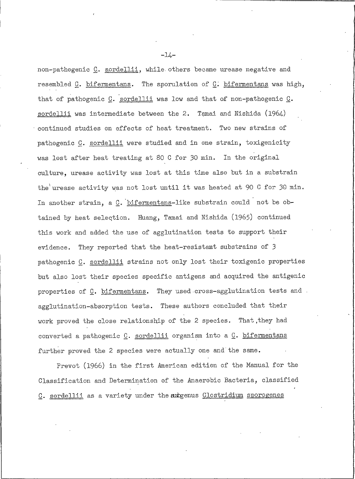non-pathogenic C. sordellii, while others became urease negative and resembled C. bifermentans. The sporulation of C. bifermentans was high, that of pathogenic C. sordellii was low and that of non-pathogenic C. sordellii was intermediate between the 2. Tamai and Nishida  $(1964)$ continued studies on effects of heat treatment. Two new strains of pathogenic C. sordellii were studied and in one strain, toxigenicity was lost after heat treating at 80 C for 30 min. In the original culture, urease activity was lost at this time also but in a substrain the'urease activity was not lost until it was heated at 90 C for 30 min. In another strain, a C. bifermentans-like substrain could not be obtained by heat selection. Huang, Tamai and Nishida (1965) continued this work and added the use of agglutination tests to support their They reported that the heat-resistant substrains of 3 evidence. pathogenic C. sordellii strains not only lost their toxigenic properties but also lost their species specific antigens and acquired the antigenic properties of C. bifermentans. They used cross-agglutination tests and. agglutination-absorption tests. These authors concluded that their work proved the close relationship of the 2 species. That they had converted a pathogenic C. sordellii organism into a C. bifermentans further proved the 2 species were actually one and the same.

Prevot (1966) in the first American edition of the Manual for the Classification and Determination of the Anaerobic Bacteria, classified C. sordellii as a variety under the subgenus Clostridium sporogenes

 $-14-$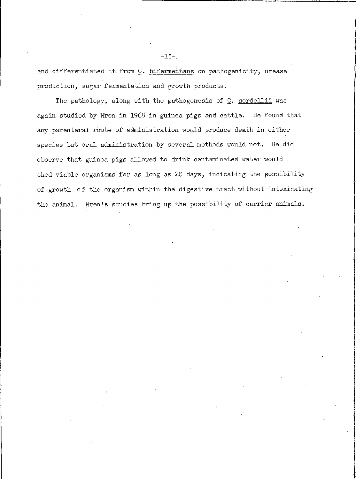and differentiated it from C. bifermentans on pathogenicity, urease production, sugar fermentation and growth products.

 $-15-$ 

The pathology, along with the pathogenesis of C. sordellii was again studied by Wren in 1968 in guinea pigs and cattle. He found that any parenteral route of administration would produce death in either species but oral administration by several methods would not. He did observe that guinea pigs allowed to drink contaminated water would. shed viable organisms for as long as 20 days, indicating the possibility of growth of the organism within the digestive tract without intoxicating the animal. Wren's studies bring up the possibility of carrier animals.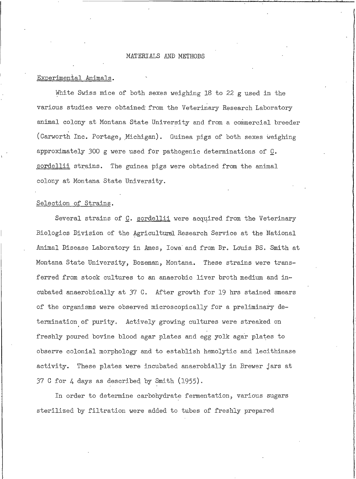# MATERIALS AND METHODS

# Experimental Animals.

White Swiss mice of both sexes weighing 18 to 22 g used in the various studies were obtained from the Veterinary Research Laboratory animal colony at Montana State University and from a commercial breeder (Carworth Inc. Portage, Michigan). Guinea pigs of both sexes weighing approximately 300 g were used for pathogenic determinations of  $C$ . sordellii strains. The guinea pigs were obtained from the animal colony at Montana State University.

#### Selection of Strains.

Several strains of C. sordellii were acquired from the Veterinary Biologics Division of the Agricultural Research Service at the National Animal Disease Laboratory in Ames, Iowa and from Dr. Louis DS. Smith at Montana State University, Bozeman, Montana. These strains were transferred from stock cultures to an anaerobic liver broth medium and incubated anaerobically at 37 C. After growth for 19 hrs stained smears of the organisms were observed microscopically for a preliminary determination of purity. Actively growing cultures were streaked on freshly poured bovine blood agar plates and egg yolk agar plates to observe colonial morphology and to establish hemolytic and lecithinase activity. These plates were incubated anaerobially in Brewer jars at 37 C for  $\lambda$  days as described by Smith (1955).

In order to determine carbohydrate fermentation, various sugars sterilized by filtration were added to tubes of freshly prepared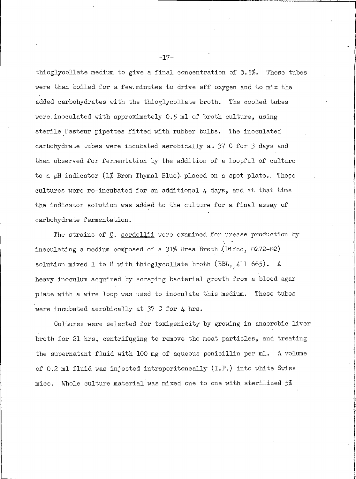thioglycollate medium to give a final concentration of 0.5%. These tubes were then boiled for a few minutes to drive off oxygen and to mix the added carbohydrates with the thioglycollate broth. The cooled tubes were inoculated with approximately 0.5 ml of broth culture, using sterile Pasteur pipettes fitted with rubber bulbs. The inoculated carbohydrate tubes were incubated aerobically at 37 C for 3 days and then observed for fermentation by the addition of a loopful of culture to a pH indicator (1% Brom Thymal Blue) placed on a spot plate. These cultures were re-incubated for an additional 4 days, and at that time the indicator solution was added to the culture for a final assay of carbohydrate fermentation.

The strains of C. sordellii were examined for urease production by inoculating a medium composed of a 31% Urea Broth (Difeo, 0272-02) solution mixed 1 to 8 with thioglycollate broth (BBL,  $411\,665$ ). A heavy inoculum acquired by scraping bacterial growth from a blood agar plate with a wire loop was used to inoculate this medium. These tubes were incubated aerobically at 37 C for 4 hrs.

Cultures were selected for toxigenicity by growing in anaerobic liver broth for 21 hrs, centrifuging to remove the meat particles, and treating the supernatant fluid with 100 mg of aqueous penicillin per ml. A volume of 0.2 ml fluid was injected intraperitoneally (I.P.) into white Swiss Whole culture material was mixed one to one with sterilized 5% mice.

 $-17-$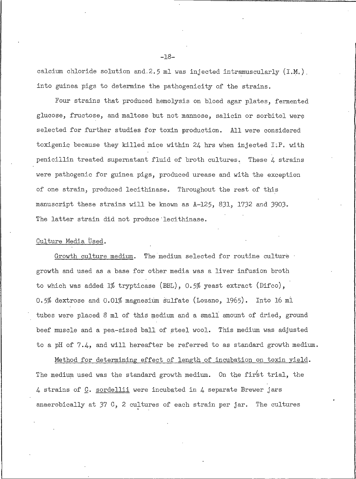calcium chloride solution and 2.5 ml was injected intramuscularly (I.M.). into guinea pigs to determine the pathogenicity of the strains.

Four strains that produced hemolysis on blood agar plates, fermented glucose, fructose, and maltose but not mannose, salicin or sorbitol were selected for further studies for toxin production. All were considered toxigenic because they killed mice within 24 hrs when injected I.P. with penicillin treated supernatant fluid of broth cultures. These 4 strains were pathogenic for guinea pigs, produced urease and with the exception of one strain, produced lecithinase. Throughout the rest of this manuscript these strains will be known as A-125, 831, 1732 and 3903. The latter strain did not produce lecithinase.

### Culture Media Used.

Growth culture medium. The medium selected for routine culture growth and used as a base for other media was a liver infusion broth to which was added  $1\%$  trypticase (BBL), 0.5% yeast extract (Difco), 0.5% dextrose and 0.01% magnesium sulfate (Lozano, 1965). Into 16 ml tubes were placed 8 ml of this medium and a small amount of dried, ground beef muscle and a pea-sized ball of steel wool. This medium was adjusted to a pH of  $7.4$ , and will hereafter be referred to as standard growth medium.

Method for determining effect of length of incubation on toxin yield. The medium used was the standard growth medium. On the first trial, the 4 strains of C. sordellii were incubated in 4 separate Brewer jars anaerobically at 37 C, 2 cultures of each strain per jar. The cultures

 $-18-$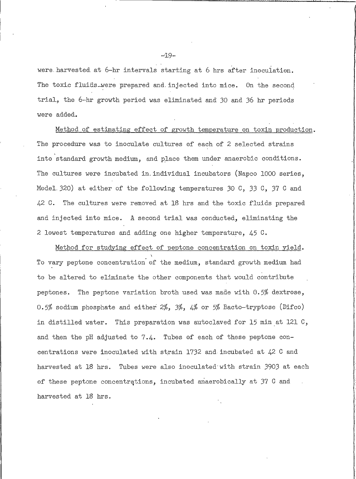were harvested at 6-hr intervals starting at 6 hrs after inoculation. The toxic fluids were prepared and injected into mice. On the second trial, the 6-hr growth period was eliminated and 30 and 36 hr periods were added.

Method of estimating effect of growth temperature on toxin production. The procedure was to inoculate cultures of each of 2 selected strains into standard growth medium, and place them under anaerobic conditions. The cultures were incubated in individual incubators (Napco 1000 series, Model 320) at either of the following temperatures 30  $C_2$ , 33  $C_3$ , 37  $C_4$  and 42 C. The cultures were removed at 18 hrs and the toxic fluids prepared and injected into mice. A second trial was conducted, eliminating the 2 lowest temperatures and adding one higher temperature, 45 C.

Method for studying effect of peptone concentration on toxin yield. To vary peptone concentration of the medium, standard growth medium had to be altered to eliminate the other components that would contribute peptones. The peptone variation broth used was made with  $0.5\%$  dextrose, 0.5% sodium phosphate and either  $2\%$ ,  $3\%$ ,  $4\%$  or 5% Bacto-tryptose (Difco) in distilled water. This preparation was autoclaved for 15 min at 121 C, and then the pH adjusted to  $7.4$ . Tubes of each of these peptone concentrations were inoculated with strain 1732 and incubated at 42 C and harvested at 18 hrs. Tubes were also inoculated with strain 3903 at each of these peptone concentrations, incubated anaerobically at 37 C and harvested at 18 hrs.

 $-19-$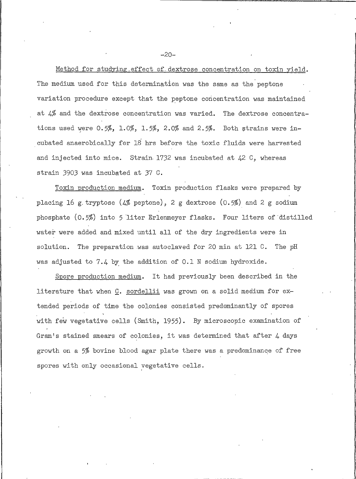Method for studying effect of dextrose concentration on toxin yield. The medium used for this determination was the same as the peptone variation procedure except that the peptone concentration was maintained at 4% and the dextrose concentration was varied. The dextrose concentrations used were 0.5%, 1.0%, 1.5%, 2.0% and 2.5%. Both strains were incubated anaerobically for 18 hrs before the toxic fluids were harvested and injected into mice. Strain 1732 was incubated at  $42\,$  C, whereas strain 3903 was incubated at 37 C.

Toxin production medium. Toxin production flasks were prepared by placing 16 g tryptose (4% peptone), 2 g dextrose (0.5%) and 2 g sodium phosphate (0.5%) into 5 liter Erlenmeyer flasks. Four liters of distilled water were added and mixed until all of the dry ingredients were in The preparation was autoclaved for 20 min at 121 C. solution. The pH was adjusted to 7.4 by the addition of 0.1 N sodium hydroxide.

Spore production medium. It had previously been described in the literature that when C. sordellii was grown on a solid medium for extended periods of time the colonies consisted predominantly of spores with few vegetative cells (Smith, 1955). By microscopic examination of Gram's stained smears of colonies, it was determined that after  $4$  days growth on a 5% bovine blood agar plate there was a predominance of free spores with only occasional vegetative cells.

 $-20-$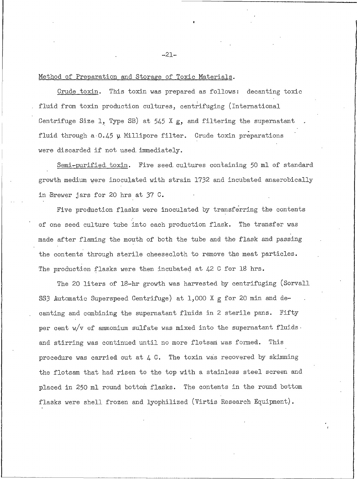# Method of Preparation and Storage of Toxic Materials.

This toxin was prepared as follows: Crude toxin. decanting toxic fluid from toxin production cultures, centrifuging (International Centrifuge Size 1, Type SB) at  $545$  X g, and filtering the supernatant fluid through a 0.45 y Millipore filter. Crude toxin preparations were discarded if not used immediately.

Semi-purified toxin. Five seed cultures containing 50 ml of standard growth medium were inoculated with strain 1732 and incubated anaerobically in Brewer jars for 20 hrs at 37 C.

Five production flasks were inoculated by transferring the contents of one seed culture tube into each production flask. The transfer was made after flaming the mouth of both the tube and the flask and passing the contents through sterile cheesecloth to remove the meat particles. The production flasks were then incubated at 42 C for 18 hrs.

The 20 liters of 18-hr growth was harvested by centrifuging (Sorvall SS3 Automatic Superspeed Centrifuge) at 1,000 X g for 20 min and decanting and combining the supernatant fluids in 2 sterile pans. Fifty per cent  $w/v$  of ammonium sulfate was mixed into the supernatant fluids. and stirring was continued until no more flotsam was formed. This procedure was carried out at  $4$  C. The toxin was recovered by skimming the flotsam that had risen to the top with a stainless steel screen and placed in 250 ml round bottom flasks. The contents in the round bottom flasks were shell frozen and lyophilized (Virtis Research Equipment).

 $-21-$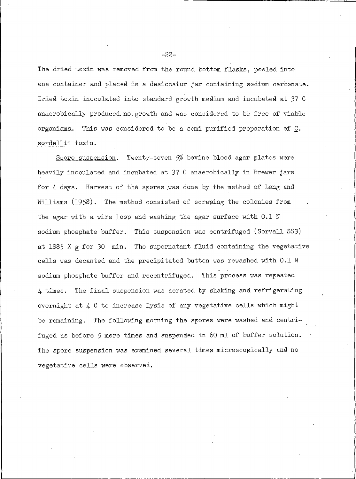The dried toxin was removed from the round bottom flasks, pooled into one container and placed in a desiccator jar containing sodium carbonate. Dried toxin inoculated into standard growth medium and incubated at 37 C anaerobically produced no growth and was considered to be free of viable organisms. This was considered to be a semi-purified preparation of C. sordellii toxin.

Spore suspension. Twenty-seven 5% bovine blood agar plates were heavily inoculated and incubated at 37 C anaerobically in Brewer jars for 4 days. Harvest of the spores was done by the method of Long and Williams (1958). The method consisted of scraping the colonies from the agar with a wire loop and washing the agar surface with 0.1 N sodium phosphate buffer. This suspension was centrifuged (Sorvall SS3) at 1885 X g for 30 min. The supernatant fluid containing the vegetative cells was decanted and the precipitated button was rewashed with 0.1 N sodium phosphate buffer and recentrifuged. This process was repeated The final suspension was aerated by shaking and refrigerating 4 times. overnight at  $\downarrow$  C to increase lysis of any vegetative cells which might be remaining. The following morning the spores were washed and centrifuged as before 5 more times and suspended in 60 ml of buffer solution. The spore suspension was examined several times microscopically and no vegetative cells were observed.

 $-22-$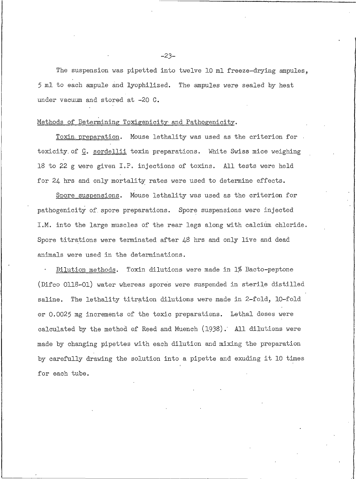The suspension was pipetted into twelve 10 ml freeze-drying ampules. 5 ml to each ampule and lyophilized. The ampules were sealed by heat under vacuum and stored at -20 C.

#### Methods of Determining Toxigenicity and Pathogenicity.

Toxin preparation. Mouse lethality was used as the criterion for toxicity of C. sordellii toxin preparations. White Swiss mice weighing 18 to 22 g were given I.P. injections of toxins. All tests were held for 24 hrs and only mortality rates were used to determine effects.

Spore suspensions. Mouse lethality was used as the criterion for pathogenicity of spore preparations. Spore suspensions were injected I.M. into the large muscles of the rear legs along with calcium chloride. Spore titrations were terminated after 48 hrs and only live and dead animals were used in the determinations.

Dilution methods. Toxin dilutions were made in 1% Bacto-peptone (Difco 0118-01) water whereas spores were suspended in sterile distilled saline. The lethality titration dilutions were made in 2-fold, 10-fold or 0.0025 mg increments of the toxic preparations. Lethal doses were calculated by the method of Reed and Muench (1938). All dilutions were made by changing pipettes with each dilution and mixing the preparation by carefully drawing the solution into a pipette and exuding it 10 times for each tube.

 $-23-$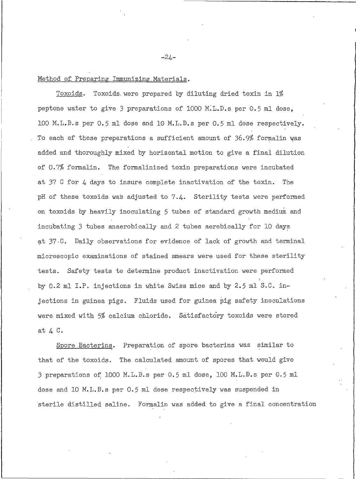Method of Preparing Immunizing Materials.

Toxoids. Toxoids were prepared by diluting dried toxin in 1% peptone water to give 3 preparations of 1000 M.L.D.s per 0.5 ml dose, 100 M.L.D.s per 0.5 ml dose and 10 M.L.D.s per 0.5 ml dose respectively. To each of these preparations a sufficient amount of 36.9% formalin was added and thoroughly mixed by horizontal motion to give a final dilution of 0.7% formalin. The formalinized toxin preparations were incubated at 37 C for  $\mu$  days to insure complete inactivation of the toxin. The pH of these toxoids was adjusted to 7.4. Sterility tests were performed on toxoids by heavily inoculating 5 tubes of standard growth medium and incubating 3 tubes anaerobically and 2 tubes aerobically for 10 days at 37.C. Daily observations for evidence of lack of growth and terminal microscopic examinations of stained smears were used for these sterility tests. Safety tests to determine product inactivation were performed by 0.2 ml I.P. injections in white Swiss mice and by 2.5 ml S.C. injections in guinea pigs. Fluids used for guinea pig safety inoculations were mixed with 5% calcium chloride. Satisfactory toxoids were stored at 4 C.

Spore Bacterins. Preparation of spore bacterins was similar to that of the toxoids. The calculated amount of spores that would give 3 preparations of 1000 M.L.D.s per 0.5 ml dose, 100 M.L.D.s per 0.5 ml dose and 10 M.L.D.s per 0.5 ml dose respectively was suspended in sterile distilled saline. Formalin was added to give a final concentration

 $-24-$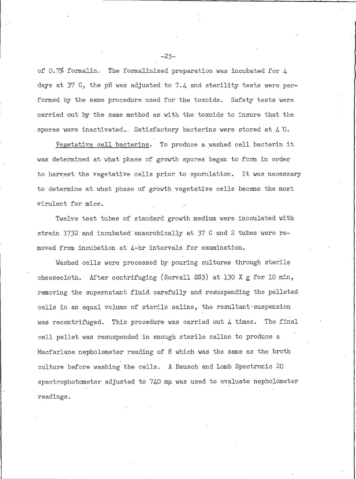of 0.7% formalin. The formalinized preparation was incubated for  $\mu$ days at 37 C, the pH was adjusted to 7.4 and sterility tests were performed by the same procedure used for the toxoids. Safety tests were carried out by the same method as with the toxoids to insure that the spores were inactivated. Satisfactory bacterins were stored at  $\downarrow$  C.

Vegetative cell bacterins. To produce a washed cell bacterin it was determined at what phase of growth spores began to form in order to harvest the vegetative cells prior to sporulation. It was necessary to determine at what phase of growth vegetative cells became the most virulent for mice.

Twelve test tubes of standard growth medium were inoculated with strain 1732 and incubated anaerobically at 37 C and 2 tubes were removed from incubation at 4-hr intervals for examination.

Washed cells were processed by pouring cultures through sterile After centrifuging (Sorvall SS3) at 130 X g for 10 min, cheesecloth. removing the supernatant fluid carefully and resuspending the pelleted cells in an equal volume of sterile saline, the resultant suspension was recentrifuged. This procedure was carried out 4 times. The final cell pellet was resuspended in enough sterile saline to produce a Macfarlane nepholometer reading of 8 which was the same as the broth culture before washing the cells. A Bausch and Lomb Spectronic 20 spectrophotometer adjusted to 740 mu was used to evaluate nepholometer readings.

 $-25-$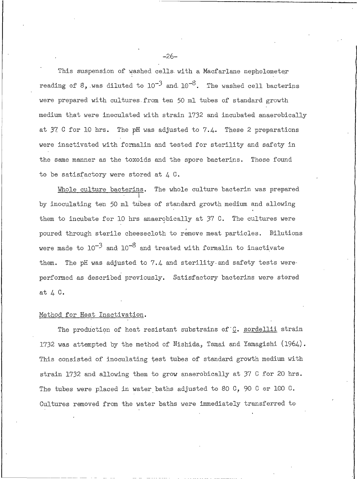This suspension of washed cells with a Macfarlane nepholometer reading of 8, was diluted to  $10^{-3}$  and  $10^{-8}$ . The washed cell bacterins were prepared with cultures from ten 50 ml tubes of standard growth medium that were inoculated with strain 1732 and incubated anaerobically at 37 C for 10 hrs. The pH was adjusted to 7.4. These 2 preparations were inactivated with formalin and tested for sterility and safety in the same manner as the toxoids and the spore bacterins. Those found to be satisfactory were stored at  $4\,0$ .

The whole culture bacterin was prepared Whole culture bacterins. by inoculating ten 50 ml tubes of standard growth medium and allowing them to incubate for 10 hrs anaerobically at 37 C. The cultures were poured through sterile cheesecloth to remove meat particles. Dilutions were made to  $10^{-3}$  and  $10^{-8}$  and treated with formalin to inactivate The pH was adjusted to 7.4 and sterility and safety tests were them. performed as described previously. Satisfactory bacterins were stored at 4 C.

#### Method for Heat Inactivation.

The production of heat resistant substrains of C. sordellii strain 1732 was attempted by the method of Nishida, Tamai and Yamagishi (1964). This consisted of inoculating test tubes of standard growth medium with strain 1732 and allowing them to grow anaerobically at 37 C for 20 hrs. The tubes were placed in water baths adjusted to 80 C, 90 C or 100 C. Cultures removed from the water baths were immediately transferred to

 $-26-$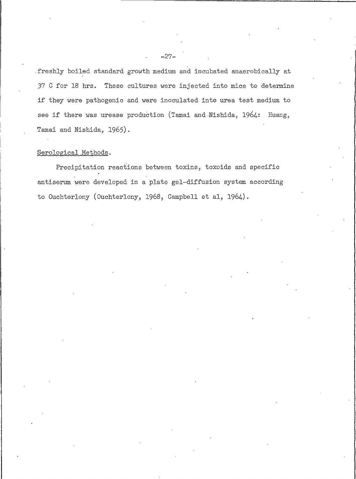freshly boiled standard growth medium and incubated anaerobically at 37 C for 18 hrs. These cultures were injected into mice to determine if they were pathogenic and were inoculated into urea test medium to see if there was urease production (Tamai and Nishida, 1964: Huang, Tamai and Nishida, 1965).

# Serological Methods.

Precipitation reactions between toxins, toxoids and specific antiserum were developed in a plate gel-diffusion system according to Ouchterlony (Ouchterlony, 1968, Campbell et al, 1964).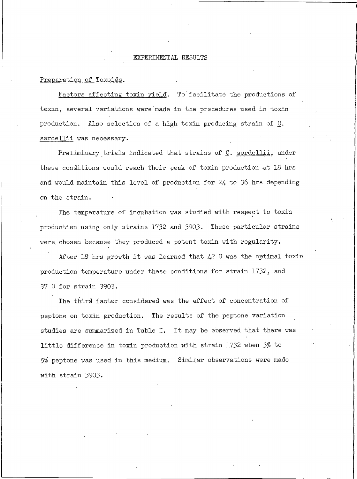#### EXPERIMENTAL RESULTS

#### Preparation of Toxoids.

Factors affecting toxin yield. To facilitate the productions of toxin, several variations were made in the procedures used in toxin production. Also selection of a high toxin producing strain of C. sordellii was necessary.

Preliminary trials indicated that strains of C. sordellii, under these conditions would reach their peak of toxin production at 18 hrs and would maintain this level of production for 24 to 36 hrs depending on the strain.

The temperature of incubation was studied with respect to toxin production using only strains 1732 and 3903. These particular strains were chosen because they produced a potent toxin with regularity.

After 18 hrs growth it was learned that  $42$  C was the optimal toxin production temperature under these conditions for strain 1732, and 37 C for strain 3903.

The third factor considered was the effect of concentration of peptone on toxin production. The results of the peptone variation studies are summarized in Table I. It may be observed that there was little difference in toxin production with strain 1732 when 3% to 5% peptone was used in this medium. Similar observations were made with strain 3903.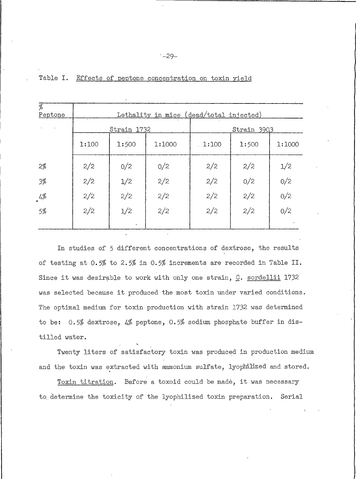| $\overline{\mathscr{G}}$<br>Peptone |       |               | Lethality in mice (dead/total_injected) |             |        |     |  |  |  |
|-------------------------------------|-------|---------------|-----------------------------------------|-------------|--------|-----|--|--|--|
|                                     |       | Strain 1732   |                                         | Strain 3903 |        |     |  |  |  |
|                                     | 1:100 | 1:500         | 1:1000                                  | 1:100       | 1:1000 |     |  |  |  |
| 2%                                  | 2/2   | 0/2           | 0/2                                     | 2/2         | 2/2    | 1/2 |  |  |  |
| 3%                                  | 2/2   | $\frac{1}{2}$ | 2/2                                     | 2/2         | 0/2    | 0/2 |  |  |  |
| 4%                                  | 2/2   | 2/2           | 2/2                                     | 2/2         | 2/2    | 0/2 |  |  |  |
| 5%                                  | 2/2   | 1/2           | 2/2                                     | 2/2         | 2/2    | 0/2 |  |  |  |
|                                     |       |               |                                         |             |        |     |  |  |  |

#### Table I. Effects of peptone concentration on toxin yield

In studies of 5 different concentrations of dextrose, the results of testing at 0.5% to 2.5% in 0.5% increments are recorded in Table II. Since it was desirable to work with only one strain, C. sordellii 1732 was selected because it produced the most toxin under varied conditions. The optimal medium for toxin production with strain 1732 was determined to be:  $0.5\%$  dextrose, 4% peptone, 0.5% sodium phosphate buffer in distilled water.

Twenty liters of satisfactory toxin was produced in production medium and the toxin was extracted with ammonium sulfate, lyophilized and stored.

Toxin titration. Before a toxoid could be made, it was necessary to determine the toxicity of the lyophilized toxin preparation. Serial

 $-29-$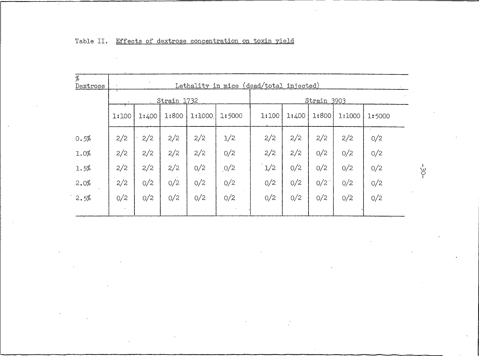| $\%$<br>Dextrose |       |       |             |        | Lethality in mice (dead/total injected) |       |       |             |        |        |
|------------------|-------|-------|-------------|--------|-----------------------------------------|-------|-------|-------------|--------|--------|
|                  |       |       | Strain 1732 |        |                                         |       |       | Strain 3903 |        |        |
|                  | 1:100 | 1:400 | 1:800       | 1:1000 | 1:5000                                  | 1:100 | 1:400 | 1:800       | 1:1000 | 1:5000 |
| 0.5%             | 2/2   | 2/2   | 2/2         | 2/2    | 1/2                                     | 2/2   | 2/2   | 2/2         | 2/2    | 0/2    |
| 1.0%             | 2/2   | 2/2   | 2/2         | 2/2    | O/2                                     | 2/2   | 2/2   | 0/2         | 0/2    | 0/2    |
| 1.5%             | 2/2   | 2/2   | 2/2         | 0/2    | 0/2                                     | 1/2   | 0/2   | 0/2         | O/2    | 0/2    |
| 2.0%             | 2/2   | 0/2   | 0/2         | O/2    | 0/2                                     | O/2   | 0/2   | 0/2         | 0/2    | 0/2    |
| 2.5%             | 0/2   | 0/2   | 0/2         | O/2    | O/2                                     | 0/2   | 0/2   | 0/2         | 0/2    | 0/2    |
|                  |       |       |             |        |                                         |       |       |             |        |        |

# Table II. Effects of dextrose concentration on toxin yield

 $-30-$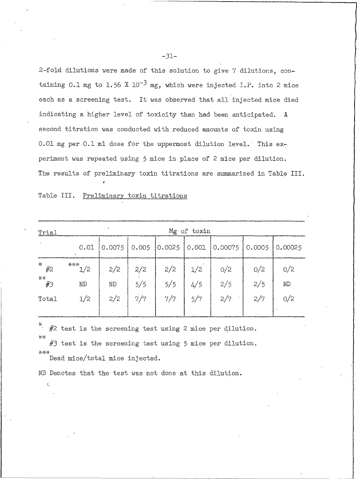2-fold dilutions were made of this solution to give 7 dilutions, containing 0.1 mg to 1.56 X 10<sup>-3</sup> mg, which were injected I.P. into 2 mice each as a screening test. It was observed that all injected mice died indicating a higher level of toxicity than had been anticipated. A second titration was conducted with reduced amounts of toxin using 0.01 mg per 0.1 ml dose for the uppermost dilution level. This experiment was repeated using 5 mice in place of 2 mice per dilution. The results of preliminary toxin titrations are summarized in Table III.

| Table III. | Preliminary toxin titrations |  |
|------------|------------------------------|--|
|            |                              |  |

| Trial                 | $\ddot{\phantom{1}}$<br>Mg of toxin |           |            |            |            |            |            |                               |  |  |  |  |
|-----------------------|-------------------------------------|-----------|------------|------------|------------|------------|------------|-------------------------------|--|--|--|--|
| $\sim$ $\sim$         | 0.01                                | 0.0075    | 0.005      | 0.0025     | 0.001      | 0.00075    | 0.0005     | 0.00025                       |  |  |  |  |
| $+$<br>#2<br>**<br>#3 | ***<br>1/2<br>$\rm ND$              | 2/2<br>ND | 2/2<br>5/5 | 2/2<br>5/5 | 1/2<br>4/5 | 0/2<br>2/5 | O/2<br>2/5 | O/2<br>$\mathbb{N}\mathbb{D}$ |  |  |  |  |
| Total                 | 1/2                                 | 2/2       | 7/7        | 7/7        | 5/7        | 2/7        | 2/7        | 0/2                           |  |  |  |  |

⋇ #2 test is the screening test using 2 mice per dilution.  $**$ 

#3 test is the screening test using 5 mice per dilution. \*\*\* Dead mice/total mice injected.

ND Denotes that the test was not done at this dilution.

 $-31-$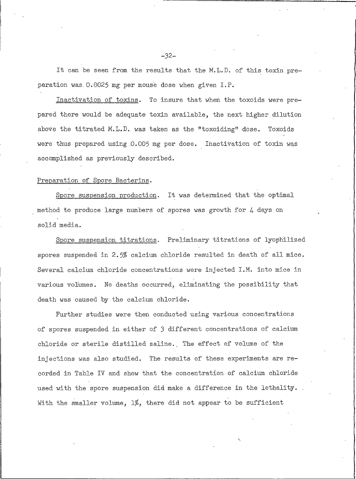It can be seen from the results that the M.L.D. of this toxin preparation was 0.0025 mg per mouse dose when given I.P.

Inactivation of toxins. To insure that when the toxoids were prepared there would be adequate toxin available, the next higher dilution above the titrated M.L.D. was taken as the "toxoiding" dose. Toxoids were thus prepared using 0.005 mg per dose. Inactivation of toxin was accomplished as previously described.

#### Preparation of Spore Bacterins.

Spore suspension production. It was determined that the optimal method to produce large numbers of spores was growth for 4 days on solid media.

Spore suspension titrations. Preliminary titrations of lyophilized spores suspended in 2.5% calcium chloride resulted in death of all mice. Several calcium chloride concentrations were injected I.M. into mice in various volumes. No deaths occurred, eliminating the possibility that death was caused by the calcium chloride.

Further studies were then conducted using various concentrations of spores suspended in either of 3 different concentrations of calcium chloride or sterile distilled saline. The effect of volume of the injections was also studied. The results of these experiments are recorded in Table IV and show that the concentration of calcium chloride used with the spore suspension did make a difference in the lethality. With the smaller volume,  $1\%$ , there did not appear to be sufficient

 $-32-$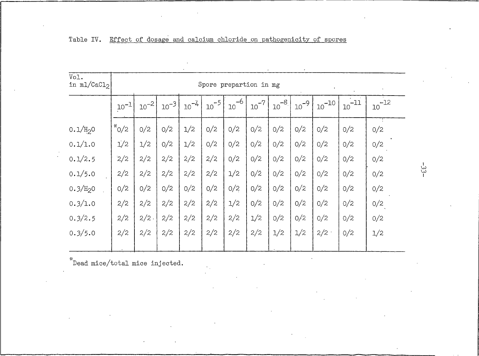| Vol.<br>in $m1/CaC12$ |           | Spore prepartion in mg |            |           |                           |                         |           |           |            |            |            |            |  |
|-----------------------|-----------|------------------------|------------|-----------|---------------------------|-------------------------|-----------|-----------|------------|------------|------------|------------|--|
|                       | $10^{-1}$ | $10^{-21}$             | $10^{-3}1$ | $10^{-4}$ | $\cdot$ 10 <sup>-51</sup> | $-6$<br>10 <sup>°</sup> | $10^{-7}$ | $10^{-8}$ | $10^{-9}1$ | $10^{-10}$ | $10^{-11}$ | $10^{-12}$ |  |
| 0.1/H <sub>2</sub> 0  | $*_{0/2}$ | 0/2                    | 0/2        | 1/2       | 0/2                       | 0/2                     | 0/2       | 0/2       | 0/2        | O/2        | 0/2        | 0/2        |  |
| 0.1/1.0               | 1/2       | 1/2                    | 0/2        | 1/2       | 0/2                       | 0/2                     | 0/2       | 0/2       | 0/2        | O/2        | 0/2        | 0/2        |  |
| 0.1/2.5               | 2/2       | 2/2                    | 2/2        | 2/2       | 2/2                       | 0/2                     | 0/2       | 0/2       | 0/2        | 0/2        | 0/2        | 0/2        |  |
| 0.1/5.0               | 2/2       | 2/2                    | 2/2        | 2/2       | 2/2                       | 1/2                     | 0/2       | 0/2       | 0/2        | 0/2        | 0/2        | 0/2        |  |
| 0.3/H <sub>2</sub> 0  | 0/2       | 0/2                    | 0/2        | 0/2       | 0/2                       | 0/2                     | 0/2       | 0/2       | 0/2        | 0/2        | 0/2        | 0/2        |  |
| 0.3/1.0               | 2/2       | 2/2                    | 2/2        | 2/2       | 2/2                       | 1/2                     | 0/2       | 0/2       | 0/2        | 0/2        | 0/2        | 0/2        |  |
| 0.3/2.5               | 2/2       | $2/2$ .                | 2/2        | 2/2       | 2/2                       | 2/2                     | 1/2       | 0/2       | 0/2        | 0/2        | O/2        | 0/2        |  |
| 0.3/5.0               | 2/2       | 2/2                    | 2/2        | 2/2       | 2/2                       | 2/2                     | 2/2       | 1/2       | 1/2        | 2/2        | Q/2        | 1/2        |  |
|                       |           |                        |            |           |                           |                         |           |           |            |            |            |            |  |

|  |  | Table IV. Effect of dosage and calcium chloride on pathogenicity of spores |  |
|--|--|----------------------------------------------------------------------------|--|
|  |  |                                                                            |  |

 $\displaystyle{\raisebox{0.6ex}{\scriptsize{*}}}$  Dead mice/total mice injected.

 $\frac{1}{3}$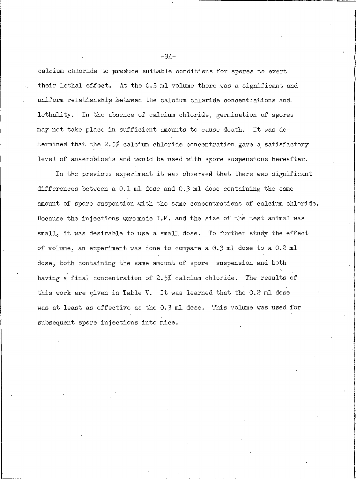calcium chloride to produce suitable conditions for spores to exert their lethal effect. At the 0.3 ml volume there was a significant and uniform relationship between the calcium chloride concentrations and lethality. In the absence of calcium chloride, germination of spores may not take place in sufficient amounts to cause death. It was determined that the 2.5% calcium chloride concentration gave a satisfactory level of anaerobiosis and would be used with spore suspensions hereafter.

In the previous experiment it was observed that there was significant differences between a 0.1 ml dose and 0.3 ml dose containing the same amount of spore suspension with the same concentrations of calcium chloride. Because the injections were made I.M. and the size of the test animal was small, it was desirable to use a small dose. To further study the effect of volume, an experiment was done to compare a 0.3 ml dose to a 0.2 ml dose, both containing the same amount of spore suspension and both having a final concentration of 2.5% calcium chloride. The results of this work are given in Table V. It was learned that the 0.2 ml dose. was at least as effective as the 0.3 ml dose. This volume was used for subsequent spore injections into mice.

 $-34-$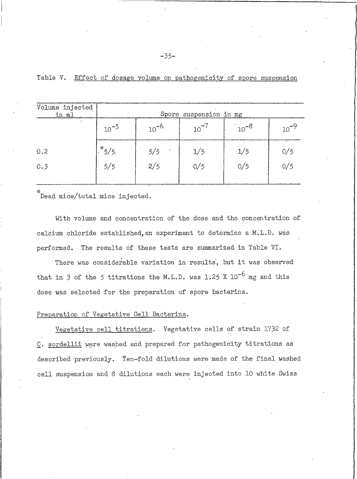| Volume injected<br><u>in ml.</u> | Spore suspension in mg |           |     |           |           |  |  |  |  |  |
|----------------------------------|------------------------|-----------|-----|-----------|-----------|--|--|--|--|--|
| $\mathcal{L}$                    | $10^{-5}$              | $10^{-6}$ | 10  | $10^{-8}$ | $10^{-9}$ |  |  |  |  |  |
| 0.2                              | $*_{5/5}$              | 5/5       | 1/5 | 1/5       | 0/5       |  |  |  |  |  |
| 0.3                              | 5/5                    | 2/5       | 0/5 | 0/5       | 0/5       |  |  |  |  |  |
|                                  |                        |           |     |           |           |  |  |  |  |  |

|  |  |  | Table V. Effect of dosage volume on pathogenicity of spore suspensior |  |  |
|--|--|--|-----------------------------------------------------------------------|--|--|
|  |  |  |                                                                       |  |  |

\*<br>Dead mice/total mice injected.

With volume and concentration of the dose and the concentration of calcium chloride established, an experiment to determine a M.L.D. was performed. The results of these tests are summarized in Table VI.

There was considerable variation in results, but it was observed that in 3 of the 5 titrations the M.L.D. was 1.25 X  $10^{-6}$  mg and this dose was selected for the preparation of spore bacterins.

### Preparation of Vegetative Cell Bacterins.

Vegetative cell titrations. Vegetative cells of strain 1732 of C. sordellii were washed and prepared for pathogenicity titrations as described previously. Ten-fold dilutions were made of the final washed cell suspension and 8 dilutions each were injected into 10 white Swiss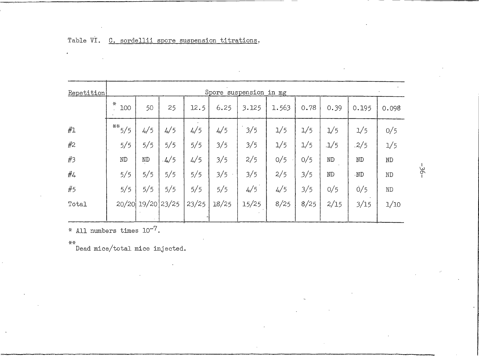| Repetition |          | Spore suspension in mg |      |       |       |       |       |      |               |          |          |  |  |
|------------|----------|------------------------|------|-------|-------|-------|-------|------|---------------|----------|----------|--|--|
|            | 꼯<br>100 | 50                     | 25   | 12.5  | 6.25  | 3.125 | 1.563 | 0.78 | 0.39          | 0.195    | 0.098    |  |  |
| #1         | $**$ 5/5 | 4/5                    | 4/5  | 4/5   | 4/5   | 3/5   | 1/5   | 1/5  | $\frac{1}{5}$ | 1/5      | 0/5      |  |  |
| #2         | 5/5      | 5/5                    | 5/5  | 5/5   | 3/5   | 3/5   | 1/5   | 1/5  | $-1/5$        | .2/5     | 1/5      |  |  |
| #3         | $\rm ND$ | $\rm ND$               | .4/5 | 4/5   | 3/5   | 2/5   | 0/5   | 0/5  | $\rm ND$      | $\rm ND$ | $\rm ND$ |  |  |
| #4         | 5/5      | 5/5                    | 5/5  | 5/5   | 3/5   | 3/5   | 2/5   | 3/5  | $\rm ND$      | .ND      | $\rm ND$ |  |  |
| #5         | 5/5      | 5/5                    | 5/5  | 5/5   | 5/5   | 4/5   | 4/5   | 3/5  | 0/5           | 0/5      | ND       |  |  |
| Total      |          | 20/20 19/20 23/25      |      | 23/25 | 18/25 | 15/25 | 8/25  | 8/25 | 2/15          | 3/15     | 1/10     |  |  |

# Table VI. C. sordellii spore suspension titrations.

\* All numbers times  $10^{-7}$ .

 $\mathbf{z}$ 

\*\*<br>Dead mice/total mice injected.

 $-36-$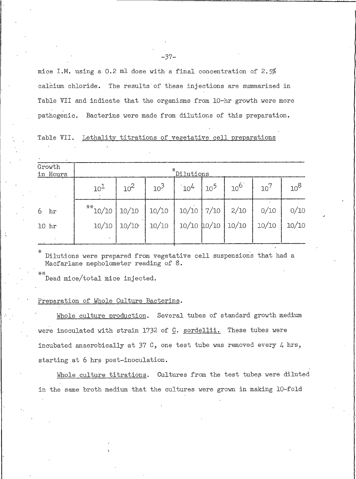mice I.M. using a 0.2 ml dose with a final concentration of 2.5% calcium chloride. The results of these injections are summarized in Table VII and indicate that the organisms from 10-hr growth were more pathogenic. Bacterins were made from dilutions of this preparation.

|  |  |  | Table VII. Lethality titrations of vegetative cell preparations |
|--|--|--|-----------------------------------------------------------------|
|  |  |  |                                                                 |

| Growth<br>in Hours | *Dilutions      |          |        |                 |                 |          |                 |          |  |  |  |
|--------------------|-----------------|----------|--------|-----------------|-----------------|----------|-----------------|----------|--|--|--|
| $\cdot$            | 10 <sup>1</sup> | $10^{2}$ | $10^3$ | $10^{4}$        | 10 <sup>5</sup> | $10^{6}$ | 10 <sup>7</sup> | $10^{8}$ |  |  |  |
| hr                 | $**10/10$       | 10/10    | 10/10  | $10/10$ 7/10    |                 | 2/10     | 0/10            | 0/10     |  |  |  |
| 10 <sub>hr</sub>   | 10/10           | 10/10    | 10/10  | $10/10$ $10/10$ |                 | 10/10    | 10/10           | 10/10    |  |  |  |
|                    | $\bullet$       |          |        |                 |                 |          |                 |          |  |  |  |

Dilutions were prepared from vegetative cell suspensions that had a Macfarlane nepholometer reading of 8.

Dead mice/total mice injected.

#### Preparation of Whole Culture Bacterins.

Whole culture production. Several tubes of standard growth medium were inoculated with strain 1732 of C. sordellii. These tubes were incubated anaerobically at 37 C, one test tube was removed every  $4 \text{ hrs}$ , starting at 6 hrs post-inoculation.

Whole culture titrations. Cultures from the test tubes were diluted in the same broth medium that the cultures were grown in making 10-fold

-37–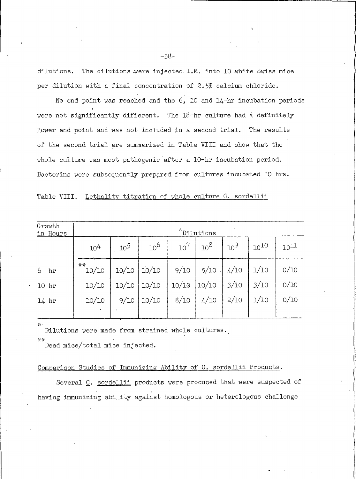dilutions. The dilutions were injected I.M. into 10 white Swiss mice per dilution with a final concentration of 2.5% calcium chloride.

No end point was reached and the  $6$ , 10 and 14-hr incubation periods were not significantly different. The 18-hr culture had a definitely lower end point and was not included in a second trial. The results of the second trial are summarized in Table VIII and show that the whole culture was most pathogenic after a 10-hr incubation period. Bacterins were subsequently prepared from cultures incubated 10 hrs.

Lethality titration of whole culture C. sordellii Table VIII.

| Growth<br>in Hours |             | *Dilutions      |                 |                 |        |        |           |           |  |  |  |  |  |
|--------------------|-------------|-----------------|-----------------|-----------------|--------|--------|-----------|-----------|--|--|--|--|--|
|                    | $10^{4}$    | 10 <sup>5</sup> | 10 <sup>6</sup> | 10 <sup>7</sup> | $10^8$ | $10^9$ | $10^{10}$ | $10^{11}$ |  |  |  |  |  |
| 6<br>hr            | **<br>10/10 | 10/10           | 10/10           | 9/10            | 5/10   | 4/10   | 1/10      | 0/10      |  |  |  |  |  |
| 10 <sub>hr</sub>   | 10/10       | 10/10           | 10/10           | 10/10           | 10/10  | 3/10   | 3/10      | 0/10      |  |  |  |  |  |
| $14$ hr            | 10/10       | 9/10            | 10/10           | 8/10            | 4/10   | 2/10   | 1/10      | 0/10      |  |  |  |  |  |
|                    |             |                 |                 |                 |        |        |           |           |  |  |  |  |  |

Dilutions were made from strained whole cultures.

\*\* Dead mice/total mice injected.

## Comparison Studies of Immunizing Ability of C. sordellii Products.

Several C. sordellii products were produced that were suspected of having immunizing ability against homologous or heterologous challenge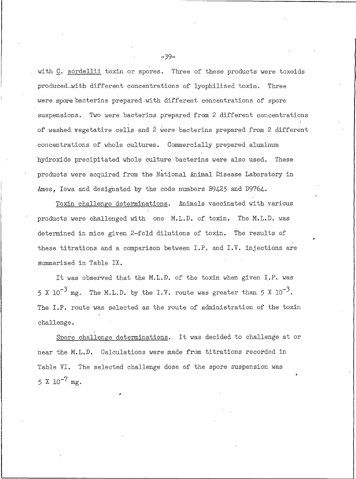. with C. sordellii toxin or spores. Three of these products were toxoids produced with different concentrations of lyophilized toxin. Three were spore bacterins prepared with different concentrations of spore suspensions. Two were bacterins prepared from 2 different concentrations of washed vegetative cells and 2 were bacterins prepared from 2 different concentrations of whole cultures. Commercially prepared aluminum hydroxide precipitated whole culture bacterins were also used. These products were acquired from the National Animal Disease Laboratory in Ames, Iowa and designated by the code numbers B9425 and D9764.

Toxin challenge determinations. Animals vaccinated with various products were challenged with one M.L.D. of toxin. The M.L.D. was determined in mice given 2-fold dilutions of toxin. The results of these titrations and a comparison between I.P. and I.V. injections are summarized in Table IX.

It was observed that the M.L.D. of the toxin when given I.P. was 5 X 10<sup>-3</sup> mg. The M.L.D. by the I.V. route was greater than 5 X 10<sup>-3</sup>. The I.P. route was selected as the route of administration of the toxin challenge.

Spore challenge determinations. It was decided to challenge at or near the M.L.D. Calculations were made from titrations recorded in Table VI. The selected challenge dose of the spore suspension was  $5 X 10^{-7}$  mg.

 $-39-$